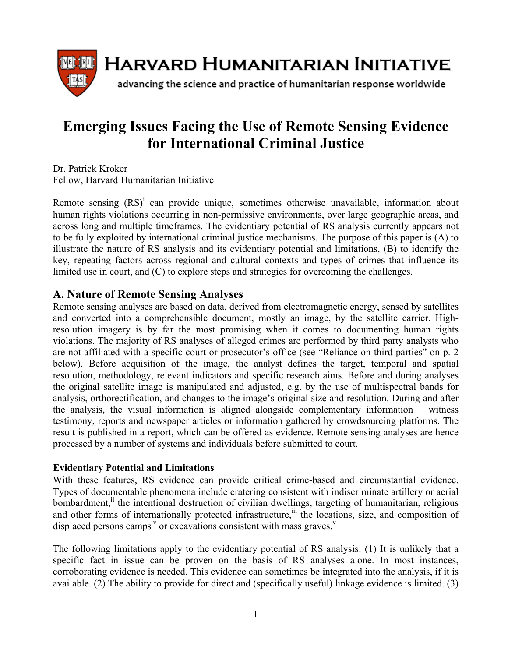

# **Emerging Issues Facing the Use of Remote Sensing Evidence for International Criminal Justice**

Dr. Patrick Kroker Fellow, Harvard Humanitarian Initiative

Remote sensing  $(RS)^{i}$  can provide unique, sometimes otherwise unavailable, information about human rights violations occurring in non-permissive environments, over large geographic areas, and across long and multiple timeframes. The evidentiary potential of RS analysis currently appears not to be fully exploited by international criminal justice mechanisms. The purpose of this paper is (A) to illustrate the nature of RS analysis and its evidentiary potential and limitations, (B) to identify the key, repeating factors across regional and cultural contexts and types of crimes that influence its limited use in court, and (C) to explore steps and strategies for overcoming the challenges.

# **A. Nature of Remote Sensing Analyses**

Remote sensing analyses are based on data, derived from electromagnetic energy, sensed by satellites and converted into a comprehensible document, mostly an image, by the satellite carrier. Highresolution imagery is by far the most promising when it comes to documenting human rights violations. The majority of RS analyses of alleged crimes are performed by third party analysts who are not affiliated with a specific court or prosecutor's office (see "Reliance on third parties" on p. 2 below). Before acquisition of the image, the analyst defines the target, temporal and spatial resolution, methodology, relevant indicators and specific research aims. Before and during analyses the original satellite image is manipulated and adjusted, e.g. by the use of multispectral bands for analysis, orthorectification, and changes to the image's original size and resolution. During and after the analysis, the visual information is aligned alongside complementary information – witness testimony, reports and newspaper articles or information gathered by crowdsourcing platforms. The result is published in a report, which can be offered as evidence. Remote sensing analyses are hence processed by a number of systems and individuals before submitted to court.

## **Evidentiary Potential and Limitations**

With these features, RS evidence can provide critical crime-based and circumstantial evidence. Types of documentable phenomena include cratering consistent with indiscriminate artillery or aerial bombardment, $\ddot{u}$  the intentional destruction of civilian dwellings, targeting of humanitarian, religious and other forms of internationally protected infrastructure,<sup>iii</sup> the locations, size, and composition of displaced persons camps<sup>iv</sup> or excavations consistent with mass graves.<sup>v</sup>

The following limitations apply to the evidentiary potential of RS analysis: (1) It is unlikely that a specific fact in issue can be proven on the basis of RS analyses alone. In most instances, corroborating evidence is needed. This evidence can sometimes be integrated into the analysis, if it is available. (2) The ability to provide for direct and (specifically useful) linkage evidence is limited. (3)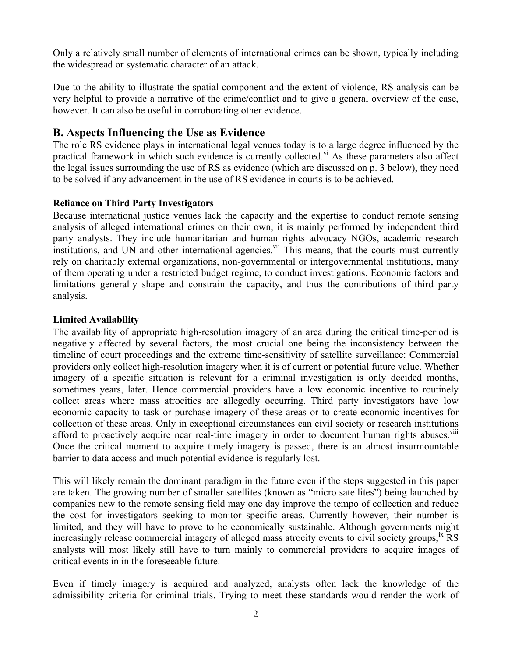Only a relatively small number of elements of international crimes can be shown, typically including the widespread or systematic character of an attack.

Due to the ability to illustrate the spatial component and the extent of violence, RS analysis can be very helpful to provide a narrative of the crime/conflict and to give a general overview of the case, however. It can also be useful in corroborating other evidence.

# **B. Aspects Influencing the Use as Evidence**

The role RS evidence plays in international legal venues today is to a large degree influenced by the practical framework in which such evidence is currently collected.<sup>vi</sup> As these parameters also affect the legal issues surrounding the use of RS as evidence (which are discussed on p. 3 below), they need to be solved if any advancement in the use of RS evidence in courts is to be achieved.

## **Reliance on Third Party Investigators**

Because international justice venues lack the capacity and the expertise to conduct remote sensing analysis of alleged international crimes on their own, it is mainly performed by independent third party analysts. They include humanitarian and human rights advocacy NGOs, academic research institutions, and UN and other international agencies.<sup>vii</sup> This means, that the courts must currently rely on charitably external organizations, non-governmental or intergovernmental institutions, many of them operating under a restricted budget regime, to conduct investigations. Economic factors and limitations generally shape and constrain the capacity, and thus the contributions of third party analysis.

## **Limited Availability**

The availability of appropriate high-resolution imagery of an area during the critical time-period is negatively affected by several factors, the most crucial one being the inconsistency between the timeline of court proceedings and the extreme time-sensitivity of satellite surveillance: Commercial providers only collect high-resolution imagery when it is of current or potential future value. Whether imagery of a specific situation is relevant for a criminal investigation is only decided months, sometimes years, later. Hence commercial providers have a low economic incentive to routinely collect areas where mass atrocities are allegedly occurring. Third party investigators have low economic capacity to task or purchase imagery of these areas or to create economic incentives for collection of these areas. Only in exceptional circumstances can civil society or research institutions afford to proactively acquire near real-time imagery in order to document human rights abuses.<sup>viii</sup> Once the critical moment to acquire timely imagery is passed, there is an almost insurmountable barrier to data access and much potential evidence is regularly lost.

This will likely remain the dominant paradigm in the future even if the steps suggested in this paper are taken. The growing number of smaller satellites (known as "micro satellites") being launched by companies new to the remote sensing field may one day improve the tempo of collection and reduce the cost for investigators seeking to monitor specific areas. Currently however, their number is limited, and they will have to prove to be economically sustainable. Although governments might increasingly release commercial imagery of alleged mass atrocity events to civil society groups, $\mathrm{K}$  RS analysts will most likely still have to turn mainly to commercial providers to acquire images of critical events in in the foreseeable future.

Even if timely imagery is acquired and analyzed, analysts often lack the knowledge of the admissibility criteria for criminal trials. Trying to meet these standards would render the work of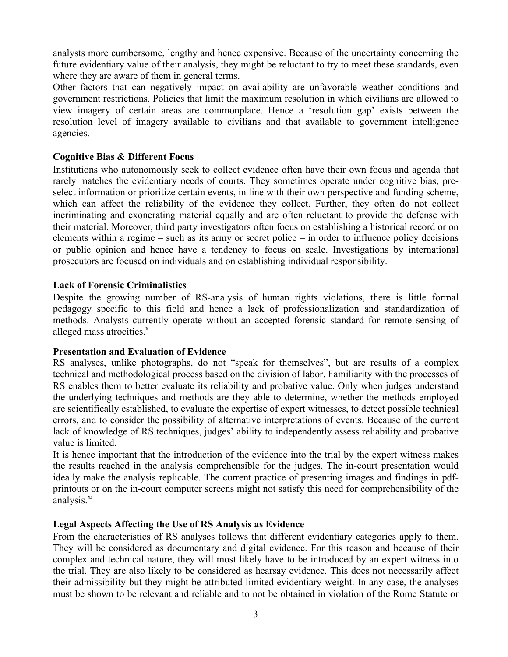analysts more cumbersome, lengthy and hence expensive. Because of the uncertainty concerning the future evidentiary value of their analysis, they might be reluctant to try to meet these standards, even where they are aware of them in general terms.

Other factors that can negatively impact on availability are unfavorable weather conditions and government restrictions. Policies that limit the maximum resolution in which civilians are allowed to view imagery of certain areas are commonplace. Hence a 'resolution gap' exists between the resolution level of imagery available to civilians and that available to government intelligence agencies.

#### **Cognitive Bias & Different Focus**

Institutions who autonomously seek to collect evidence often have their own focus and agenda that rarely matches the evidentiary needs of courts. They sometimes operate under cognitive bias, preselect information or prioritize certain events, in line with their own perspective and funding scheme, which can affect the reliability of the evidence they collect. Further, they often do not collect incriminating and exonerating material equally and are often reluctant to provide the defense with their material. Moreover, third party investigators often focus on establishing a historical record or on elements within a regime – such as its army or secret police – in order to influence policy decisions or public opinion and hence have a tendency to focus on scale. Investigations by international prosecutors are focused on individuals and on establishing individual responsibility.

#### **Lack of Forensic Criminalistics**

Despite the growing number of RS-analysis of human rights violations, there is little formal pedagogy specific to this field and hence a lack of professionalization and standardization of methods. Analysts currently operate without an accepted forensic standard for remote sensing of alleged mass atrocities. $x^x$ 

#### **Presentation and Evaluation of Evidence**

RS analyses, unlike photographs, do not "speak for themselves", but are results of a complex technical and methodological process based on the division of labor. Familiarity with the processes of RS enables them to better evaluate its reliability and probative value. Only when judges understand the underlying techniques and methods are they able to determine, whether the methods employed are scientifically established, to evaluate the expertise of expert witnesses, to detect possible technical errors, and to consider the possibility of alternative interpretations of events. Because of the current lack of knowledge of RS techniques, judges' ability to independently assess reliability and probative value is limited.

It is hence important that the introduction of the evidence into the trial by the expert witness makes the results reached in the analysis comprehensible for the judges. The in-court presentation would ideally make the analysis replicable. The current practice of presenting images and findings in pdfprintouts or on the in-court computer screens might not satisfy this need for comprehensibility of the analysis. $\frac{xi}{x}$ 

#### **Legal Aspects Affecting the Use of RS Analysis as Evidence**

From the characteristics of RS analyses follows that different evidentiary categories apply to them. They will be considered as documentary and digital evidence. For this reason and because of their complex and technical nature, they will most likely have to be introduced by an expert witness into the trial. They are also likely to be considered as hearsay evidence. This does not necessarily affect their admissibility but they might be attributed limited evidentiary weight. In any case, the analyses must be shown to be relevant and reliable and to not be obtained in violation of the Rome Statute or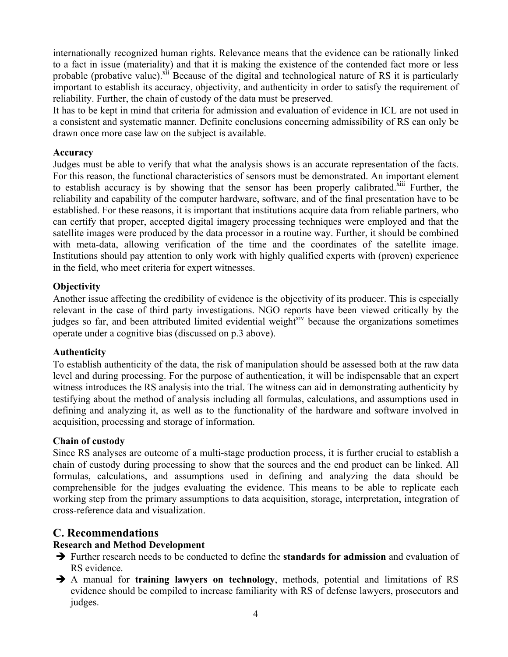internationally recognized human rights. Relevance means that the evidence can be rationally linked to a fact in issue (materiality) and that it is making the existence of the contended fact more or less probable (probative value).<sup>Xii</sup> Because of the digital and technological nature of RS it is particularly important to establish its accuracy, objectivity, and authenticity in order to satisfy the requirement of reliability. Further, the chain of custody of the data must be preserved.

It has to be kept in mind that criteria for admission and evaluation of evidence in ICL are not used in a consistent and systematic manner. Definite conclusions concerning admissibility of RS can only be drawn once more case law on the subject is available.

#### **Accuracy**

Judges must be able to verify that what the analysis shows is an accurate representation of the facts. For this reason, the functional characteristics of sensors must be demonstrated. An important element to establish accuracy is by showing that the sensor has been properly calibrated.<sup>xiii</sup> Further, the reliability and capability of the computer hardware, software, and of the final presentation have to be established. For these reasons, it is important that institutions acquire data from reliable partners, who can certify that proper, accepted digital imagery processing techniques were employed and that the satellite images were produced by the data processor in a routine way. Further, it should be combined with meta-data, allowing verification of the time and the coordinates of the satellite image. Institutions should pay attention to only work with highly qualified experts with (proven) experience in the field, who meet criteria for expert witnesses.

## **Objectivity**

Another issue affecting the credibility of evidence is the objectivity of its producer. This is especially relevant in the case of third party investigations. NGO reports have been viewed critically by the judges so far, and been attributed limited evidential weight<sup>xiv</sup> because the organizations sometimes operate under a cognitive bias (discussed on p.3 above).

## **Authenticity**

To establish authenticity of the data, the risk of manipulation should be assessed both at the raw data level and during processing. For the purpose of authentication, it will be indispensable that an expert witness introduces the RS analysis into the trial. The witness can aid in demonstrating authenticity by testifying about the method of analysis including all formulas, calculations, and assumptions used in defining and analyzing it, as well as to the functionality of the hardware and software involved in acquisition, processing and storage of information.

## **Chain of custody**

Since RS analyses are outcome of a multi-stage production process, it is further crucial to establish a chain of custody during processing to show that the sources and the end product can be linked. All formulas, calculations, and assumptions used in defining and analyzing the data should be comprehensible for the judges evaluating the evidence. This means to be able to replicate each working step from the primary assumptions to data acquisition, storage, interpretation, integration of cross-reference data and visualization.

# **C. Recommendations**

## **Research and Method Development**

- è Further research needs to be conducted to define the **standards for admission** and evaluation of RS evidence.
- è A manual for **training lawyers on technology**, methods, potential and limitations of RS evidence should be compiled to increase familiarity with RS of defense lawyers, prosecutors and judges.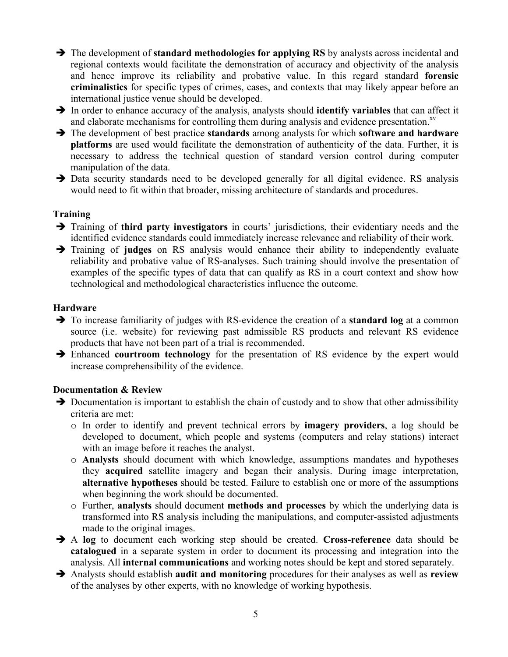- è The development of **standard methodologies for applying RS** by analysts across incidental and regional contexts would facilitate the demonstration of accuracy and objectivity of the analysis and hence improve its reliability and probative value. In this regard standard **forensic criminalistics** for specific types of crimes, cases, and contexts that may likely appear before an international justice venue should be developed.
- è In order to enhance accuracy of the analysis, analysts should **identify variables** that can affect it and elaborate mechanisms for controlling them during analysis and evidence presentation.<sup>xv</sup>
- è The development of best practice **standards** among analysts for which **software and hardware platforms** are used would facilitate the demonstration of authenticity of the data. Further, it is necessary to address the technical question of standard version control during computer manipulation of the data.
- $\rightarrow$  Data security standards need to be developed generally for all digital evidence. RS analysis would need to fit within that broader, missing architecture of standards and procedures.

## **Training**

- è Training of **third party investigators** in courts' jurisdictions, their evidentiary needs and the identified evidence standards could immediately increase relevance and reliability of their work.
- è Training of **judges** on RS analysis would enhance their ability to independently evaluate reliability and probative value of RS-analyses. Such training should involve the presentation of examples of the specific types of data that can qualify as RS in a court context and show how technological and methodological characteristics influence the outcome.

## **Hardware**

- è To increase familiarity of judges with RS-evidence the creation of a **standard log** at a common source (i.e. website) for reviewing past admissible RS products and relevant RS evidence products that have not been part of a trial is recommended.
- è Enhanced **courtroom technology** for the presentation of RS evidence by the expert would increase comprehensibility of the evidence.

# **Documentation & Review**

- $\rightarrow$  Documentation is important to establish the chain of custody and to show that other admissibility criteria are met:
	- o In order to identify and prevent technical errors by **imagery providers**, a log should be developed to document, which people and systems (computers and relay stations) interact with an image before it reaches the analyst.
	- o **Analysts** should document with which knowledge, assumptions mandates and hypotheses they **acquired** satellite imagery and began their analysis. During image interpretation, **alternative hypotheses** should be tested. Failure to establish one or more of the assumptions when beginning the work should be documented.
	- o Further, **analysts** should document **methods and processes** by which the underlying data is transformed into RS analysis including the manipulations, and computer-assisted adjustments made to the original images.
- è A **log** to document each working step should be created. **Cross-reference** data should be **catalogued** in a separate system in order to document its processing and integration into the analysis. All **internal communications** and working notes should be kept and stored separately.
- è Analysts should establish **audit and monitoring** procedures for their analyses as well as **review** of the analyses by other experts, with no knowledge of working hypothesis.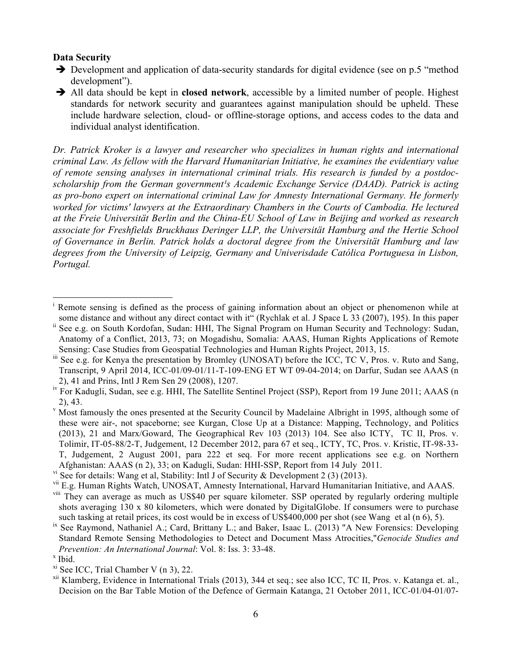#### **Data Security**

- $\rightarrow$  Development and application of data-security standards for digital evidence (see on p.5 "method") development").
- è All data should be kept in **closed network**, accessible by a limited number of people. Highest standards for network security and guarantees against manipulation should be upheld. These include hardware selection, cloud- or offline-storage options, and access codes to the data and individual analyst identification.

*Dr. Patrick Kroker is a lawyer and researcher who specializes in human rights and international criminal Law. As fellow with the Harvard Humanitarian Initiative, he examines the evidentiary value of remote sensing analyses in international criminal trials. His research is funded by a postdocscholarship from the German government<sup>1</sup>s Academic Exchange Service (DAAD). Patrick is acting as pro-bono expert on international criminal Law for Amnesty International Germany. He formerly worked for victims' lawyers at the Extraordinary Chambers in the Courts of Cambodia. He lectured at the Freie Universität Berlin and the China-EU School of Law in Beijing and worked as research associate for Freshfields Bruckhaus Deringer LLP, the Universität Hamburg and the Hertie School of Governance in Berlin. Patrick holds a doctoral degree from the Universität Hamburg and law degrees from the University of Leipzig, Germany and Univerisdade Católica Portuguesa in Lisbon, Portugal.*

Remote sensing is defined as the process of gaining information about an object or phenomenon while at some distance and without any direct contact with it" (Rychlak et al. J Space L 33 (2007), 195). In this paper ii See e.g. on South Kordofan, Sudan: HHI, The Signal Program on Human Security and Technology: Sudan, Anatomy of a Conflict, 2013, 73; on Mogadishu, Somalia: AAAS, Human Rights Applications of Remote Sensing: Case Studies from Geospatial Technologies and Human Rights Project, 2013, 15.

<sup>&</sup>lt;sup>iii</sup> See e.g. for Kenya the presentation by Bromley (UNOSAT) before the ICC, TC V, Pros. v. Ruto and Sang, Transcript, 9 April 2014, ICC-01/09-01/11-T-109-ENG ET WT 09-04-2014; on Darfur, Sudan see AAAS (n 2), 41 and Prins, Intl J Rem Sen 29 (2008), 1207.

<sup>&</sup>lt;sup>iv</sup> For Kadugli, Sudan, see e.g. HHI, The Satellite Sentinel Project (SSP), Report from 19 June 2011; AAAS (n 2), 43.<br>Most famously the ones presented at the Security Council by Madelaine Albright in 1995, although some of

these were air-, not spaceborne; see Kurgan, Close Up at a Distance: Mapping, Technology, and Politics (2013), 21 and Marx/Goward, The Geographical Rev 103 (2013) 104. See also ICTY, TC II, Pros. v. Tolimir, IT-05-88/2-T, Judgement, 12 December 2012, para 67 et seq., ICTY, TC, Pros. v. Kristic, IT-98-33- T, Judgement, 2 August 2001, para 222 et seq. For more recent applications see e.g. on Northern Afghanistan: AAAS (n 2), 33; on Kadugli, Sudan: HHI-SSP, Report from 14 July 2011.

<sup>&</sup>lt;sup>vi</sup> See for details: Wang et al, Stability: Intl J of Security & Development 2 (3) (2013).

vii E.g. Human Rights Watch, UNOSAT, Amnesty International, Harvard Humanitarian Initiative, and AAAS. <sup>viii</sup> They can average as much as US\$40 per square kilometer. SSP operated by regularly ordering multiple shots averaging 130 x 80 kilometers, which were donated by DigitalGlobe. If consumers were to purchase such tasking at retail prices, its cost would be in excess of US\$400,000 per shot (see Wang et al (n 6), 5).

<sup>&</sup>lt;sup>ix</sup> See Raymond, Nathaniel A.; Card, Brittany L.; and Baker, Isaac L. (2013) "A New Forensics: Developing Standard Remote Sensing Methodologies to Detect and Document Mass Atrocities,"*Genocide Studies and Prevention: An International Journal: Vol. 8: Iss. 3: 33-48. x* Ibid.

xi See ICC, Trial Chamber V (n 3), 22.

xii Klamberg, Evidence in International Trials (2013), 344 et seq.; see also ICC, TC II, Pros. v. Katanga et. al., Decision on the Bar Table Motion of the Defence of Germain Katanga, 21 October 2011, ICC-01/04-01/07-